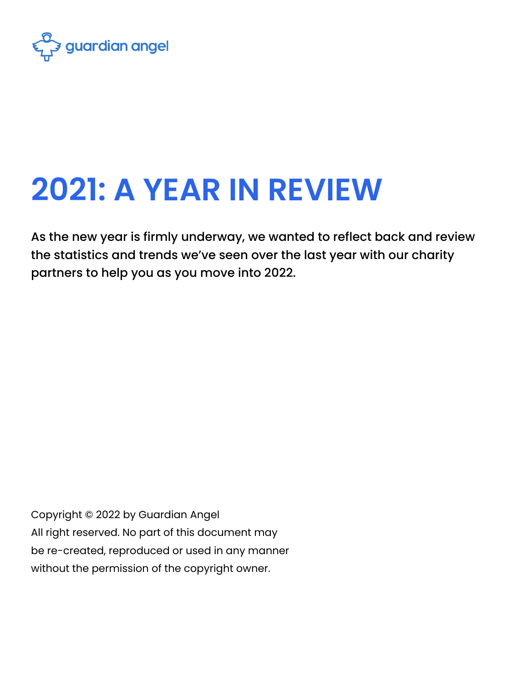

# **2021: A YEAR IN REVIEW**

As the new year is firmly underway, we wanted to reflect back and review the statistics and trends we've seen over the last year with our charity partners to help you as you move into 2022.

Copyright © 2022 by Guardian Angel All right reserved. No part of this document may be re-created, reproduced or used in any manner without the permission of the copyright owner.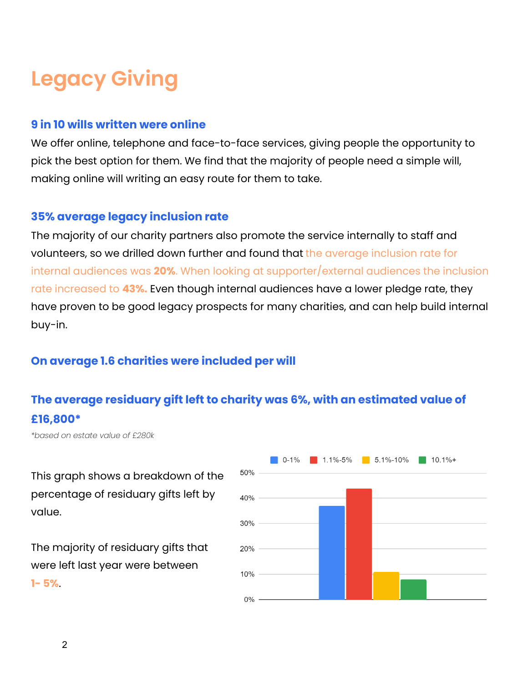## **Legacy Giving**

#### **9 in 10 wills written were online**

We offer online, telephone and face-to-face services, giving people the opportunity to pick the best option for them. We find that the majority of people need a simple will, making online will writing an easy route for them to take.

#### **35% average legacy inclusion rate**

The majority of our charity partners also promote the service internally to staff and volunteers, so we drilled down further and found that the average inclusion rate for internal audiences was **20%**. When looking at supporter/external audiences the inclusion rate increased to **43%.** Even though internal audiences have a lower pledge rate, they have proven to be good legacy prospects for many charities, and can help build internal buy-in.

#### **On average 1.6 charities were included per will**

#### **The average residuary gift left to charity was 6%, with an estimated value of £16,800\***

*\*based on estate value of £280k*

This graph shows a breakdown of the percentage of residuary gifts left by value.

The majority of residuary gifts that were left last year were between **1- 5%**.

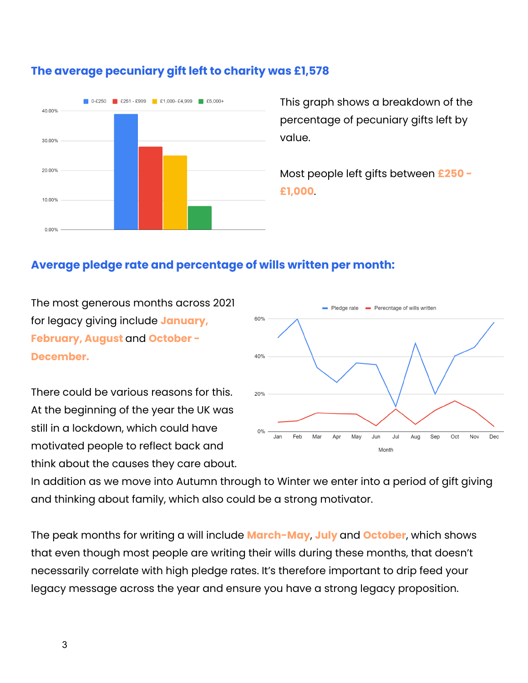

#### **The average pecuniary gift left to charity was £1,578**

This graph shows a breakdown of the percentage of pecuniary gifts left by value.

Most people left gifts between **£250 - £1,000**.

#### **Average pledge rate and percentage of wills written per month:**

The most generous months across 2021 for legacy giving include **January, February, August** and **October - December.**

There could be various reasons for this. At the beginning of the year the UK was still in a lockdown, which could have motivated people to reflect back and think about the causes they care about.



In addition as we move into Autumn through to Winter we enter into a period of gift giving and thinking about family, which also could be a strong motivator.

The peak months for writing a will include **March-May**, **July** and **October**, which shows that even though most people are writing their wills during these months, that doesn't necessarily correlate with high pledge rates. It's therefore important to drip feed your legacy message across the year and ensure you have a strong legacy proposition.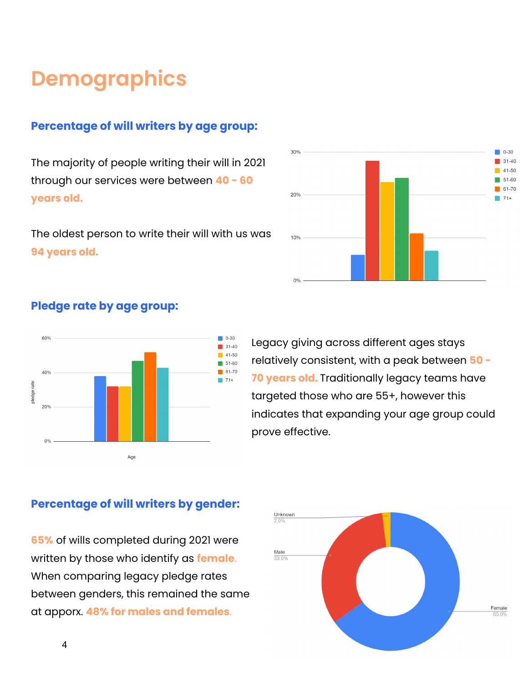### **Demographics**

#### **Percentage of will writers by age group:**

The majority of people writing their will in 2021 through our services were between **40 - 60 years old.**

The oldest person to write their will with us was **94 years old.**



#### **Pledge rate by age group:**



Legacy giving across different ages stays relatively consistent, with a peak between **50 - 70 years old.** Traditionally legacy teams have targeted those who are 55+, however this indicates that expanding your age group could prove effective.



#### **Percentage of will writers by gender:**

**65%** of wills completed during 2021 were written by those who identify as **female**. When comparing legacy pledge rates between genders, this remained the same at apporx. **48% for males and females**.